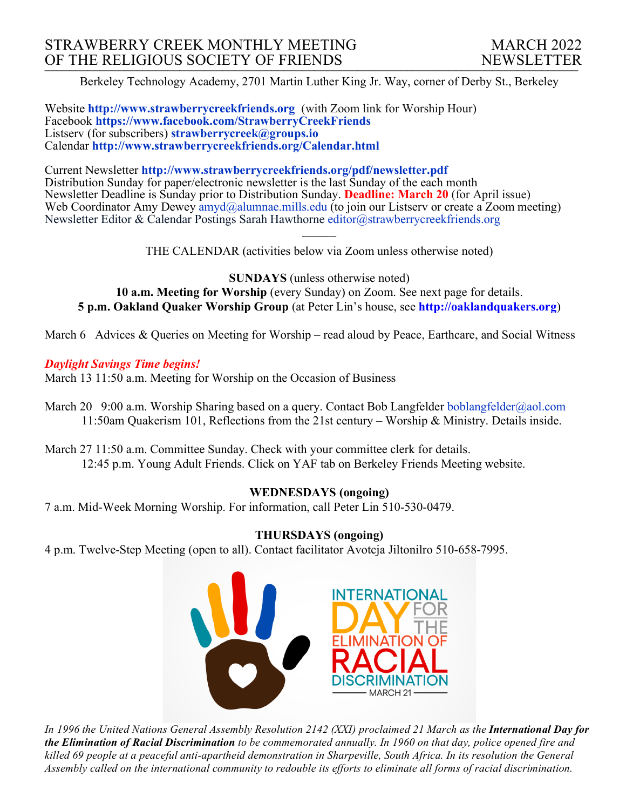Berkeley Technology Academy, 2701 Martin Luther King Jr. Way, corner of Derby St., Berkeley

Website **http://www.strawberrycreekfriends.org** (with Zoom link for Worship Hour) Facebook **https://www.facebook.com/StrawberryCreekFriends** Listserv (for subscribers) **strawberrycreek@groups.io** Calendar **http://www.strawberrycreekfriends.org/Calendar.html**

Current Newsletter **http://www.strawberrycreekfriends.org/pdf/newsletter.pdf** Distribution Sunday for paper/electronic newsletter is the last Sunday of the each month Newsletter Deadline is Sunday prior to Distribution Sunday. **Deadline: March 20** (for April issue) Web Coordinator Amy Dewey  $\frac{am\ddot{a}}{am\ddot{a}}$ alumnae.mills.edu (to join our Listserv or create a Zoom meeting) Newsletter Editor & Calendar Postings Sarah Hawthorne editor@strawberrycreekfriends.org

> $\overline{\phantom{a}}$ THE CALENDAR (activities below via Zoom unless otherwise noted)

**SUNDAYS** (unless otherwise noted) **10 a.m. Meeting for Worship** (every Sunday) on Zoom. See next page for details. **5 p.m. Oakland Quaker Worship Group** (at Peter Lin's house, see **http://oaklandquakers.org**)

March 6 Advices & Queries on Meeting for Worship – read aloud by Peace, Earthcare, and Social Witness

### *Daylight Savings Time begins!*

March 13 11:50 a.m. Meeting for Worship on the Occasion of Business

- March 20 9:00 a.m. Worship Sharing based on a query. Contact Bob Langfelder boblangfelder@aol.com 11:50am Quakerism 101, Reflections from the 21st century – Worship & Ministry. Details inside.
- March 27 11:50 a.m. Committee Sunday. Check with your committee clerk for details. 12:45 p.m. Young Adult Friends. Click on YAF tab on Berkeley Friends Meeting website.

# **WEDNESDAYS (ongoing)**

7 a.m. Mid-Week Morning Worship. For information, call Peter Lin 510-530-0479.

# **THURSDAYS (ongoing)**

4 p.m. Twelve-Step Meeting (open to all). Contact facilitator Avotcja Jiltonilro 510-658-7995.



In 1996 the United Nations General Assembly Resolution 2142 (XXI) proclaimed 21 March as the International Day for the Elimination of Racial Discrimination to be commemorated annually. In 1960 on that day, police opened fire and killed 69 people at a peaceful anti-apartheid demonstration in Sharpeville, South Africa. In its resolution the General Assembly called on the international community to redouble its efforts to eliminate all forms of racial discrimination.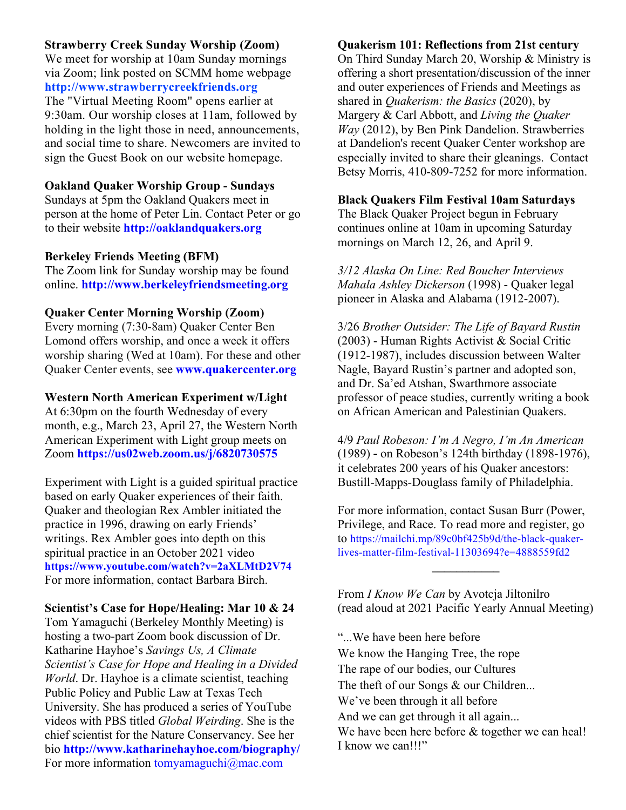### **Strawberry Creek Sunday Worship (Zoom)**

We meet for worship at 10am Sunday mornings via Zoom; link posted on SCMM home webpage **http://www.strawberrycreekfriends.org** The "Virtual Meeting Room" opens earlier at 9:30am. Our worship closes at 11am, followed by holding in the light those in need, announcements, and social time to share. Newcomers are invited to sign the Guest Book on our website homepage.

# **Oakland Quaker Worship Group - Sundays**

Sundays at 5pm the Oakland Quakers meet in person at the home of Peter Lin. Contact Peter or go to their website **http://oaklandquakers.org**

### **Berkeley Friends Meeting (BFM)**

The Zoom link for Sunday worship may be found online. **http://www.berkeleyfriendsmeeting.org**

#### **Quaker Center Morning Worship (Zoom)**

Every morning (7:30-8am) Quaker Center Ben Lomond offers worship, and once a week it offers worship sharing (Wed at 10am). For these and other Quaker Center events, see **www.quakercenter.org**

#### **Western North American Experiment w/Light**

At 6:30pm on the fourth Wednesday of every month, e.g., March 23, April 27, the Western North American Experiment with Light group meets on Zoom **https://us02web.zoom.us/j/6820730575**

Experiment with Light is a guided spiritual practice based on early Quaker experiences of their faith. Quaker and theologian Rex Ambler initiated the practice in 1996, drawing on early Friends' writings. Rex Ambler goes into depth on this spiritual practice in an October 2021 video **https://www.youtube.com/watch?v=2aXLMtD2V74** For more information, contact Barbara Birch.

### **Scientist's Case for Hope/Healing: Mar 10 & 24**

Tom Yamaguchi (Berkeley Monthly Meeting) is hosting a two-part Zoom book discussion of Dr. Katharine Hayhoe's *Savings Us, A Climate Scientist's Case for Hope and Healing in a Divided World*. Dr. Hayhoe is a climate scientist, teaching Public Policy and Public Law at Texas Tech University. She has produced a series of YouTube videos with PBS titled *Global Weirding*. She is the chief scientist for the Nature Conservancy. See her bio **http://www.katharinehayhoe.com/biography/** For more information tomyamaguchi@mac.com

#### **Quakerism 101: Reflections from 21st century**

On Third Sunday March 20, Worship & Ministry is offering a short presentation/discussion of the inner and outer experiences of Friends and Meetings as shared in *Quakerism: the Basics* (2020), by Margery & Carl Abbott, and *Living the Quaker Way* (2012), by Ben Pink Dandelion. Strawberries at Dandelion's recent Quaker Center workshop are especially invited to share their gleanings. Contact Betsy Morris, 410-809-7252 for more information.

#### **Black Quakers Film Festival 10am Saturdays**

The Black Quaker Project begun in February continues online at 10am in upcoming Saturday mornings on March 12, 26, and April 9.

*3/12 Alaska On Line: Red Boucher Interviews Mahala Ashley Dickerson* (1998) - Quaker legal pioneer in Alaska and Alabama (1912-2007).

3/26 *Brother Outsider: The Life of Bayard Rustin* (2003) - Human Rights Activist & Social Critic (1912-1987), includes discussion between Walter Nagle, Bayard Rustin's partner and adopted son, and Dr. Sa'ed Atshan, Swarthmore associate professor of peace studies, currently writing a book on African American and Palestinian Quakers.

4/9 *Paul Robeson: I'm A Negro, I'm An American*  (1989) **-** on Robeson's 124th birthday (1898-1976), it celebrates 200 years of his Quaker ancestors: Bustill-Mapps-Douglass family of Philadelphia.

For more information, contact Susan Burr (Power, Privilege, and Race. To read more and register, go to https://mailchi.mp/89c0bf425b9d/the-black-quakerlives-matter-film-festival-11303694?e=4888559fd2

From *I Know We Can* by Avotcja Jiltonilro (read aloud at 2021 Pacific Yearly Annual Meeting)

**\_\_\_\_\_\_\_\_\_\_\_** 

"...We have been here before We know the Hanging Tree, the rope The rape of our bodies, our Cultures The theft of our Songs & our Children... We've been through it all before And we can get through it all again... We have been here before  $&$  together we can heal! I know we can!!!"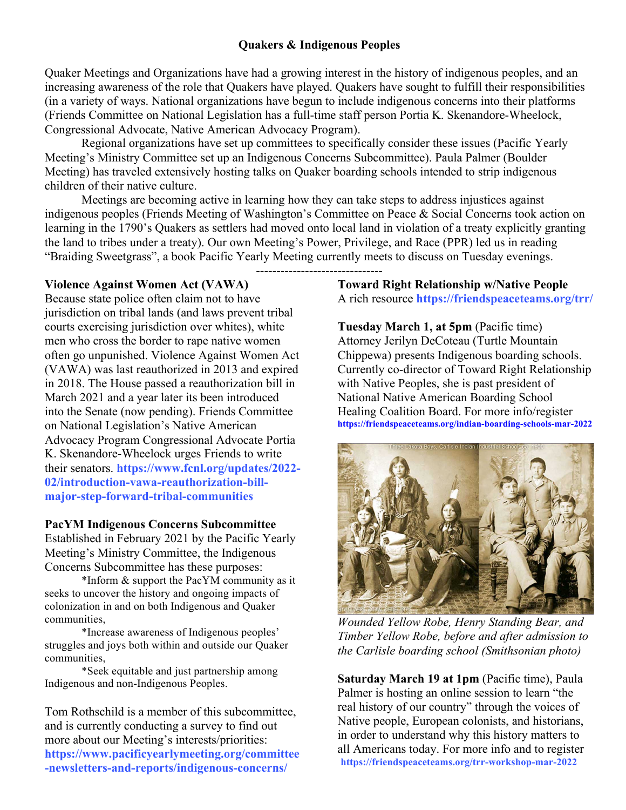# **Quakers & Indigenous Peoples**

Quaker Meetings and Organizations have had a growing interest in the history of indigenous peoples, and an increasing awareness of the role that Quakers have played. Quakers have sought to fulfill their responsibilities (in a variety of ways. National organizations have begun to include indigenous concerns into their platforms (Friends Committee on National Legislation has a full-time staff person Portia K. Skenandore-Wheelock, Congressional Advocate, Native American Advocacy Program).

Regional organizations have set up committees to specifically consider these issues (Pacific Yearly Meeting's Ministry Committee set up an Indigenous Concerns Subcommittee). Paula Palmer (Boulder Meeting) has traveled extensively hosting talks on Quaker boarding schools intended to strip indigenous children of their native culture.

Meetings are becoming active in learning how they can take steps to address injustices against indigenous peoples (Friends Meeting of Washington's Committee on Peace & Social Concerns took action on learning in the 1790's Quakers as settlers had moved onto local land in violation of a treaty explicitly granting the land to tribes under a treaty). Our own Meeting's Power, Privilege, and Race (PPR) led us in reading "Braiding Sweetgrass", a book Pacific Yearly Meeting currently meets to discuss on Tuesday evenings.

-------------------------------

# **Violence Against Women Act (VAWA)**

Because state police often claim not to have jurisdiction on tribal lands (and laws prevent tribal courts exercising jurisdiction over whites), white men who cross the border to rape native women often go unpunished. Violence Against Women Act (VAWA) was last reauthorized in 2013 and expired in 2018. The House passed a reauthorization bill in March 2021 and a year later its been introduced into the Senate (now pending). Friends Committee on National Legislation's Native American Advocacy Program Congressional Advocate Portia K. Skenandore-Wheelock urges Friends to write their senators. **https://www.fcnl.org/updates/2022- 02/introduction-vawa-reauthorization-billmajor-step-forward-tribal-communities**

### **PacYM Indigenous Concerns Subcommittee**

Established in February 2021 by the Pacific Yearly Meeting's Ministry Committee, the Indigenous Concerns Subcommittee has these purposes:

\*Inform & support the PacYM community as it seeks to uncover the history and ongoing impacts of colonization in and on both Indigenous and Quaker communities,

\*Increase awareness of Indigenous peoples' struggles and joys both within and outside our Quaker communities,

\*Seek equitable and just partnership among Indigenous and non-Indigenous Peoples.

Tom Rothschild is a member of this subcommittee, and is currently conducting a survey to find out more about our Meeting's interests/priorities: **https://www.pacificyearlymeeting.org/committee -newsletters-and-reports/indigenous-concerns/**

**Toward Right Relationship w/Native People** A rich resource **https://friendspeaceteams.org/trr/**

**Tuesday March 1, at 5pm** (Pacific time) Attorney Jerilyn DeCoteau (Turtle Mountain Chippewa) presents Indigenous boarding schools. Currently co-director of Toward Right Relationship with Native Peoples, she is past president of National Native American Boarding School Healing Coalition Board. For more info/register **https://friendspeaceteams.org/indian-boarding-schools-mar-2022**



*Wounded Yellow Robe, Henry Standing Bear, and Timber Yellow Robe, before and after admission to the Carlisle boarding school (Smithsonian photo)*

**Saturday March 19 at 1pm** (Pacific time), Paula Palmer is hosting an online session to learn "the real history of our country" through the voices of Native people, European colonists, and historians, in order to understand why this history matters to all Americans today. For more info and to register **https://friendspeaceteams.org/trr-workshop-mar-2022**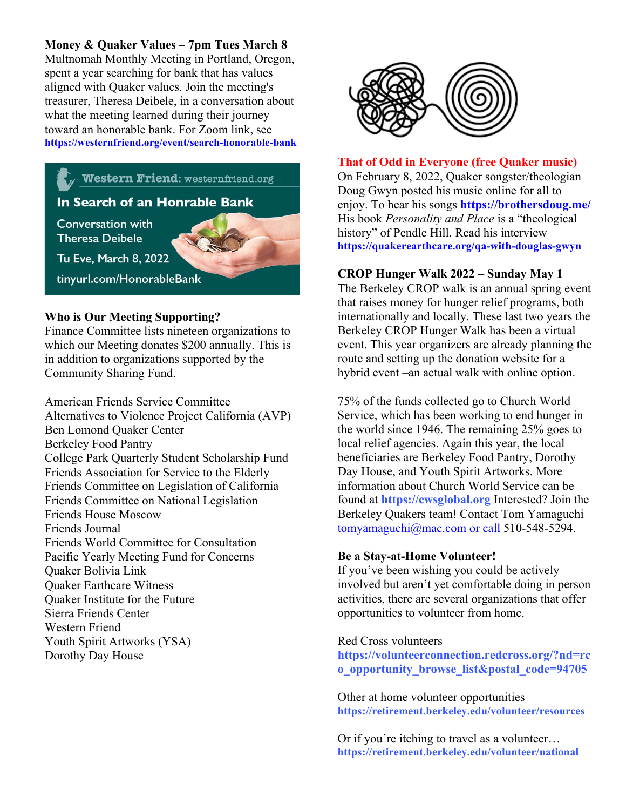# **Money & Quaker Values – 7pm Tues March 8**

Multnomah Monthly Meeting in Portland, Oregon, spent a year searching for bank that has values aligned with Quaker values. Join the meeting's treasurer, Theresa Deibele, in a conversation about what the meeting learned during their journey toward an honorable bank. For Zoom link, see **https://westernfriend.org/event/search-honorable-bank**

# **Western Friend:** westernfriend.org

# In Search of an Honrable Bank

**Conversation with Theresa Deibele** 



Tu Eve, March 8, 2022

tinyurl.com/HonorableBank

# **Who is Our Meeting Supporting?**

Finance Committee lists nineteen organizations to which our Meeting donates \$200 annually. This is in addition to organizations supported by the Community Sharing Fund.

American Friends Service Committee Alternatives to Violence Project California (AVP) Ben Lomond Quaker Center Berkeley Food Pantry College Park Quarterly Student Scholarship Fund Friends Association for Service to the Elderly Friends Committee on Legislation of California Friends Committee on National Legislation Friends House Moscow Friends Journal Friends World Committee for Consultation Pacific Yearly Meeting Fund for Concerns Quaker Bolivia Link Quaker Earthcare Witness Quaker Institute for the Future Sierra Friends Center Western Friend Youth Spirit Artworks (YSA) Dorothy Day House



**That of Odd in Everyone (free Quaker music)** On February 8, 2022, Quaker songster/theologian Doug Gwyn posted his music online for all to enjoy. To hear his songs **https://brothersdoug.me/** His book *Personality and Place* is a "theological history" of Pendle Hill. Read his interview **https://quakerearthcare.org/qa-with-douglas-gwyn**

### **CROP Hunger Walk 2022 – Sunday May 1**

The Berkeley CROP walk is an annual spring event that raises money for hunger relief programs, both internationally and locally. These last two years the Berkeley CROP Hunger Walk has been a virtual event. This year organizers are already planning the route and setting up the donation website for a hybrid event –an actual walk with online option.

75% of the funds collected go to Church World Service, which has been working to end hunger in the world since 1946. The remaining 25% goes to local relief agencies. Again this year, the local beneficiaries are Berkeley Food Pantry, Dorothy Day House, and Youth Spirit Artworks. More information about Church World Service can be found at **https://cwsglobal.org** Interested? Join the Berkeley Quakers team! Contact Tom Yamaguchi tomyamaguchi@mac.com or call 510-548-5294.

### **Be a Stay-at-Home Volunteer!**

If you've been wishing you could be actively involved but aren't yet comfortable doing in person activities, there are several organizations that offer opportunities to volunteer from home.

### Red Cross volunteers

**https://volunteerconnection.redcross.org/?nd=rc o\_opportunity\_browse\_list&postal\_code=94705**

Other at home volunteer opportunities **https://retirement.berkeley.edu/volunteer/resources**

Or if you're itching to travel as a volunteer… **https://retirement.berkeley.edu/volunteer/national**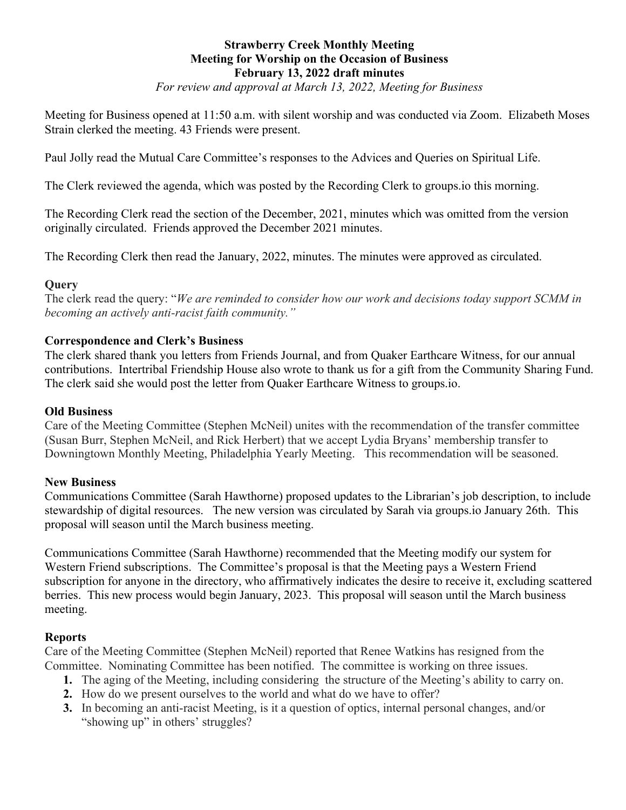# **Strawberry Creek Monthly Meeting Meeting for Worship on the Occasion of Business February 13, 2022 draft minutes**

*For review and approval at March 13, 2022, Meeting for Business*

Meeting for Business opened at 11:50 a.m. with silent worship and was conducted via Zoom. Elizabeth Moses Strain clerked the meeting. 43 Friends were present.

Paul Jolly read the Mutual Care Committee's responses to the Advices and Queries on Spiritual Life.

The Clerk reviewed the agenda, which was posted by the Recording Clerk to groups.io this morning.

The Recording Clerk read the section of the December, 2021, minutes which was omitted from the version originally circulated. Friends approved the December 2021 minutes.

The Recording Clerk then read the January, 2022, minutes. The minutes were approved as circulated.

# **Query**

The clerk read the query: "*We are reminded to consider how our work and decisions today support SCMM in becoming an actively anti-racist faith community."* 

# **Correspondence and Clerk's Business**

The clerk shared thank you letters from Friends Journal, and from Quaker Earthcare Witness, for our annual contributions. Intertribal Friendship House also wrote to thank us for a gift from the Community Sharing Fund. The clerk said she would post the letter from Quaker Earthcare Witness to groups.io.

## **Old Business**

Care of the Meeting Committee (Stephen McNeil) unites with the recommendation of the transfer committee (Susan Burr, Stephen McNeil, and Rick Herbert) that we accept Lydia Bryans' membership transfer to Downingtown Monthly Meeting, Philadelphia Yearly Meeting. This recommendation will be seasoned.

# **New Business**

Communications Committee (Sarah Hawthorne) proposed updates to the Librarian's job description, to include stewardship of digital resources. The new version was circulated by Sarah via groups.io January 26th. This proposal will season until the March business meeting.

Communications Committee (Sarah Hawthorne) recommended that the Meeting modify our system for Western Friend subscriptions. The Committee's proposal is that the Meeting pays a Western Friend subscription for anyone in the directory, who affirmatively indicates the desire to receive it, excluding scattered berries. This new process would begin January, 2023. This proposal will season until the March business meeting.

# **Reports**

Care of the Meeting Committee (Stephen McNeil) reported that Renee Watkins has resigned from the Committee. Nominating Committee has been notified. The committee is working on three issues.

- **1.** The aging of the Meeting, including considering the structure of the Meeting's ability to carry on.
- **2.** How do we present ourselves to the world and what do we have to offer?
- **3.** In becoming an anti-racist Meeting, is it a question of optics, internal personal changes, and/or "showing up" in others' struggles?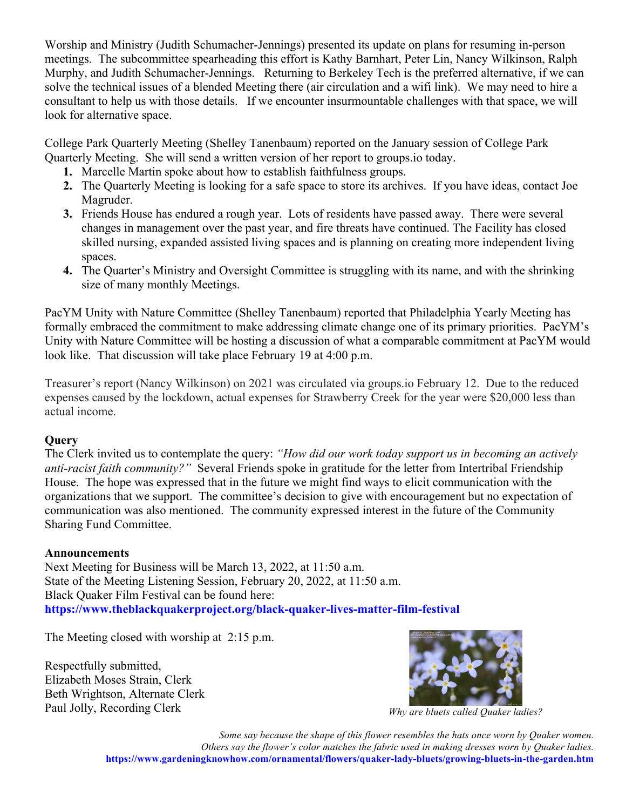Worship and Ministry (Judith Schumacher-Jennings) presented its update on plans for resuming in-person meetings. The subcommittee spearheading this effort is Kathy Barnhart, Peter Lin, Nancy Wilkinson, Ralph Murphy, and Judith Schumacher-Jennings. Returning to Berkeley Tech is the preferred alternative, if we can solve the technical issues of a blended Meeting there (air circulation and a wifi link). We may need to hire a consultant to help us with those details. If we encounter insurmountable challenges with that space, we will look for alternative space.

College Park Quarterly Meeting (Shelley Tanenbaum) reported on the January session of College Park Quarterly Meeting. She will send a written version of her report to groups.io today.

- **1.** Marcelle Martin spoke about how to establish faithfulness groups.
- **2.** The Quarterly Meeting is looking for a safe space to store its archives. If you have ideas, contact Joe Magruder.
- **3.** Friends House has endured a rough year. Lots of residents have passed away. There were several changes in management over the past year, and fire threats have continued. The Facility has closed skilled nursing, expanded assisted living spaces and is planning on creating more independent living spaces.
- **4.** The Quarter's Ministry and Oversight Committee is struggling with its name, and with the shrinking size of many monthly Meetings.

PacYM Unity with Nature Committee (Shelley Tanenbaum) reported that Philadelphia Yearly Meeting has formally embraced the commitment to make addressing climate change one of its primary priorities. PacYM's Unity with Nature Committee will be hosting a discussion of what a comparable commitment at PacYM would look like. That discussion will take place February 19 at 4:00 p.m.

Treasurer's report (Nancy Wilkinson) on 2021 was circulated via groups.io February 12. Due to the reduced expenses caused by the lockdown, actual expenses for Strawberry Creek for the year were \$20,000 less than actual income.

# **Query**

The Clerk invited us to contemplate the query: *"How did our work today support us in becoming an actively anti-racist faith community?"* Several Friends spoke in gratitude for the letter from Intertribal Friendship House. The hope was expressed that in the future we might find ways to elicit communication with the organizations that we support. The committee's decision to give with encouragement but no expectation of communication was also mentioned. The community expressed interest in the future of the Community Sharing Fund Committee.

# **Announcements**

Next Meeting for Business will be March 13, 2022, at 11:50 a.m. State of the Meeting Listening Session, February 20, 2022, at 11:50 a.m. Black Quaker Film Festival can be found here: **https://www.theblackquakerproject.org/black-quaker-lives-matter-film-festival**

The Meeting closed with worship at 2:15 p.m.

Respectfully submitted, Elizabeth Moses Strain, Clerk Beth Wrightson, Alternate Clerk Paul Jolly, Recording Clerk *Why are bluets called Quaker ladies?* 



*Some say because the shape of this flower resembles the hats once worn by Quaker women. Others say the flower's color matches the fabric used in making dresses worn by Quaker ladies.*  **https://www.gardeningknowhow.com/ornamental/flowers/quaker-lady-bluets/growing-bluets-in-the-garden.htm**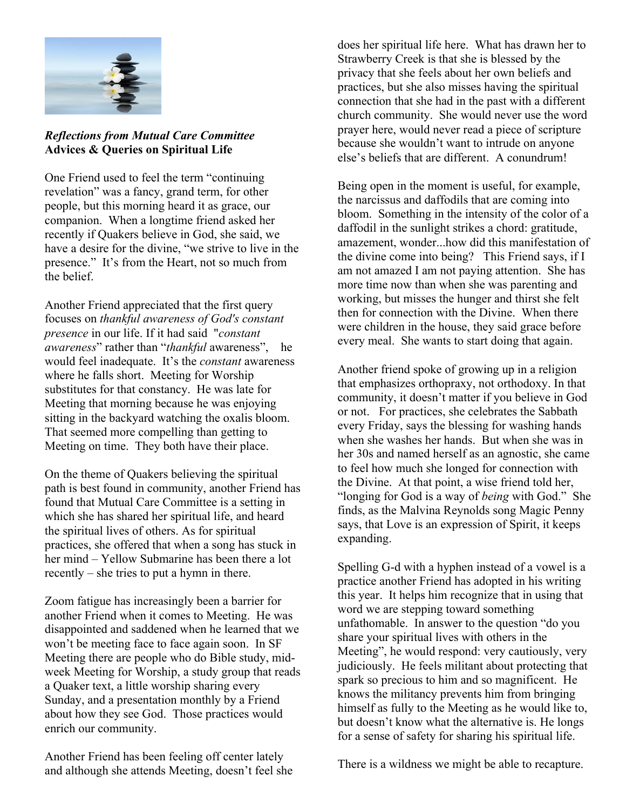

## *Reflections from Mutual Care Committee* **Advices & Queries on Spiritual Life**

One Friend used to feel the term "continuing revelation" was a fancy, grand term, for other people, but this morning heard it as grace, our companion. When a longtime friend asked her recently if Quakers believe in God, she said, we have a desire for the divine, "we strive to live in the presence." It's from the Heart, not so much from the belief.

Another Friend appreciated that the first query focuses on *thankful awareness of God's constant presence* in our life. If it had said "*constant awareness*" rather than "*thankful* awareness", he would feel inadequate. It's the *constant* awareness where he falls short. Meeting for Worship substitutes for that constancy. He was late for Meeting that morning because he was enjoying sitting in the backyard watching the oxalis bloom. That seemed more compelling than getting to Meeting on time. They both have their place.

On the theme of Quakers believing the spiritual path is best found in community, another Friend has found that Mutual Care Committee is a setting in which she has shared her spiritual life, and heard the spiritual lives of others. As for spiritual practices, she offered that when a song has stuck in her mind – Yellow Submarine has been there a lot recently – she tries to put a hymn in there.

Zoom fatigue has increasingly been a barrier for another Friend when it comes to Meeting. He was disappointed and saddened when he learned that we won't be meeting face to face again soon. In SF Meeting there are people who do Bible study, midweek Meeting for Worship, a study group that reads a Quaker text, a little worship sharing every Sunday, and a presentation monthly by a Friend about how they see God. Those practices would enrich our community.

Another Friend has been feeling off center lately and although she attends Meeting, doesn't feel she does her spiritual life here. What has drawn her to Strawberry Creek is that she is blessed by the privacy that she feels about her own beliefs and practices, but she also misses having the spiritual connection that she had in the past with a different church community. She would never use the word prayer here, would never read a piece of scripture because she wouldn't want to intrude on anyone else's beliefs that are different. A conundrum!

Being open in the moment is useful, for example, the narcissus and daffodils that are coming into bloom. Something in the intensity of the color of a daffodil in the sunlight strikes a chord: gratitude, amazement, wonder...how did this manifestation of the divine come into being? This Friend says, if I am not amazed I am not paying attention. She has more time now than when she was parenting and working, but misses the hunger and thirst she felt then for connection with the Divine. When there were children in the house, they said grace before every meal. She wants to start doing that again.

Another friend spoke of growing up in a religion that emphasizes orthopraxy, not orthodoxy. In that community, it doesn't matter if you believe in God or not. For practices, she celebrates the Sabbath every Friday, says the blessing for washing hands when she washes her hands. But when she was in her 30s and named herself as an agnostic, she came to feel how much she longed for connection with the Divine. At that point, a wise friend told her, "longing for God is a way of *being* with God." She finds, as the Malvina Reynolds song Magic Penny says, that Love is an expression of Spirit, it keeps expanding.

Spelling G-d with a hyphen instead of a vowel is a practice another Friend has adopted in his writing this year. It helps him recognize that in using that word we are stepping toward something unfathomable. In answer to the question "do you share your spiritual lives with others in the Meeting", he would respond: very cautiously, very judiciously. He feels militant about protecting that spark so precious to him and so magnificent. He knows the militancy prevents him from bringing himself as fully to the Meeting as he would like to, but doesn't know what the alternative is. He longs for a sense of safety for sharing his spiritual life.

There is a wildness we might be able to recapture.